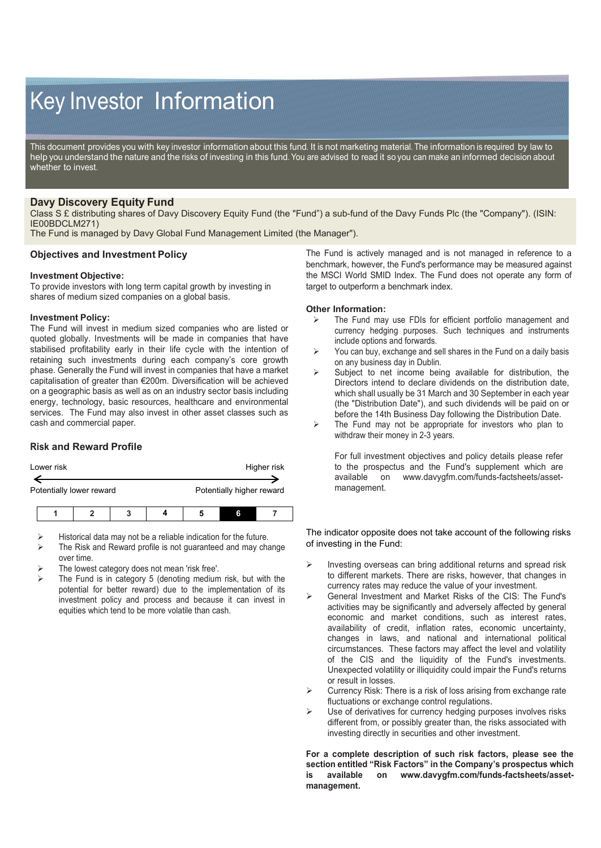# Key Investor Information

This document provides you with key investor information about this fund. It is not marketing material. The information is required by law to help you understand the nature and the risks of investing in this fund. You are advised to read it so you can make an informed decision about whether to invest.

# **Davy Discovery Equity Fund**

Class S £ distributing shares of Davy Discovery Equity Fund (the "Fund") a sub-fund of the Davy Funds Plc (the "Company"). (ISIN: IE00BDCLM271)

The Fund is managed by Davy Global Fund Management Limited (the Manager").

### **Objectives and Investment Policy**

#### **Investment Objective:**

To provide investors with long term capital growth by investing in shares of medium sized companies on a global basis.

#### **Investment Policy:**

The Fund will invest in medium sized companies who are listed or quoted globally. Investments will be made in companies that have stabilised profitability early in their life cycle with the intention of retaining such investments during each company's core growth phase. Generally the Fund will invest in companies that have a market capitalisation of greater than €200m. Diversification will be achieved on a geographic basis as well as on an industry sector basis including energy, technology, basic resources, healthcare and environmental services. The Fund may also invest in other asset classes such as cash and commercial paper.

## **Risk and Reward Profile**

| Lower risk               | Higher risk               |
|--------------------------|---------------------------|
|                          |                           |
| Potentially lower reward | Potentially higher reward |
|                          |                           |

- Historical data may not be a reliable indication for the future.
- The Risk and Reward profile is not guaranteed and may change over time.
- The lowest category does not mean 'risk free'.
- The Fund is in category 5 (denoting medium risk, but with the potential for better reward) due to the implementation of its investment policy and process and because it can invest in equities which tend to be more volatile than cash.

The Fund is actively managed and is not managed in reference to a benchmark, however, the Fund's performance may be measured against the MSCI World SMID Index. The Fund does not operate any form of target to outperform a benchmark index.

#### **Other Information:**

- $\triangleright$  The Fund may use FDIs for efficient portfolio management and currency hedging purposes. Such techniques and instruments include options and forwards.
- $\triangleright$  You can buy, exchange and sell shares in the Fund on a daily basis on any business day in Dublin.
- $\triangleright$  Subject to net income being available for distribution, the Directors intend to declare dividends on the distribution date, which shall usually be 31 March and 30 September in each year (the "Distribution Date"), and such dividends will be paid on or before the 14th Business Day following the Distribution Date.
- $\triangleright$  The Fund may not be appropriate for investors who plan to withdraw their money in 2-3 years.

For full investment objectives and policy details please refer to the prospectus and the Fund's supplement which are available on www.davygfm.com/funds-factsheets/asseton www.davygfm.com/funds-factsheets/assetmanagement.

The indicator opposite does not take account of the following risks of investing in the Fund:

- $\triangleright$  Investing overseas can bring additional returns and spread risk to different markets. There are risks, however, that changes in currency rates may reduce the value of your investment.
- General Investment and Market Risks of the CIS: The Fund's activities may be significantly and adversely affected by general economic and market conditions, such as interest rates, availability of credit, inflation rates, economic uncertainty, changes in laws, and national and international political circumstances. These factors may affect the level and volatility of the CIS and the liquidity of the Fund's investments. Unexpected volatility or illiquidity could impair the Fund's returns or result in losses.
- Currency Risk: There is a risk of loss arising from exchange rate fluctuations or exchange control regulations.
- Use of derivatives for currency hedging purposes involves risks different from, or possibly greater than, the risks associated with investing directly in securities and other investment.

**For a complete description of such risk factors, please see the section entitled "Risk Factors" in the Company's prospectus which is available on www.davygfm.com/funds-factsheets/assetmanagement.**